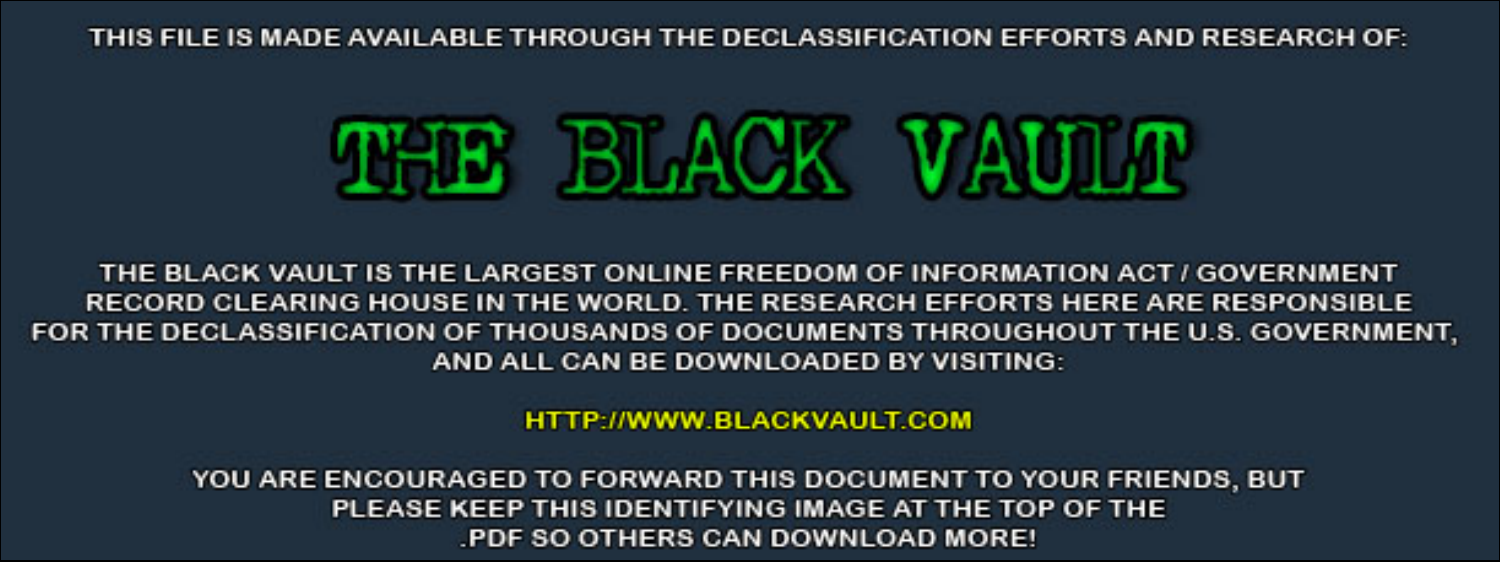THIS FILE IS MADE AVAILABLE THROUGH THE DECLASSIFICATION EFFORTS AND RESEARCH OF:



THE BLACK VAULT IS THE LARGEST ONLINE FREEDOM OF INFORMATION ACT / GOVERNMENT RECORD CLEARING HOUSE IN THE WORLD. THE RESEARCH EFFORTS HERE ARE RESPONSIBLE FOR THE DECLASSIFICATION OF THOUSANDS OF DOCUMENTS THROUGHOUT THE U.S. GOVERNMENT, AND ALL CAN BE DOWNLOADED BY VISITING:

**HTTP://WWW.BLACKVAULT.COM** 

YOU ARE ENCOURAGED TO FORWARD THIS DOCUMENT TO YOUR FRIENDS, BUT PLEASE KEEP THIS IDENTIFYING IMAGE AT THE TOP OF THE PDF SO OTHERS CAN DOWNLOAD MORE!